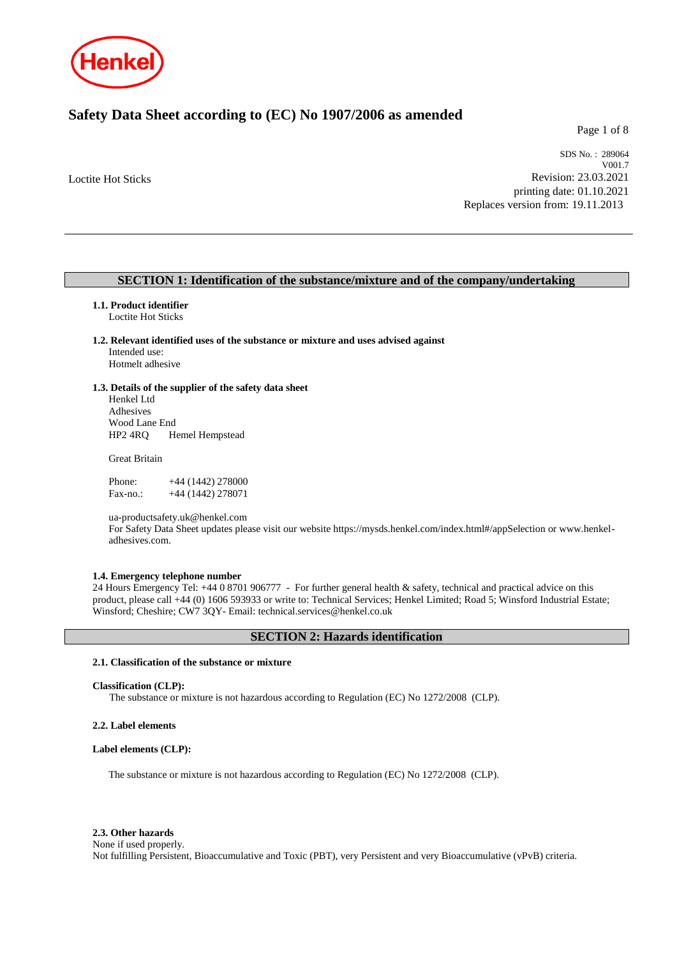

# **Safety Data Sheet according to (EC) No 1907/2006 as amended**

Page 1 of 8

Loctite Hot Sticks

SDS No. : 289064 V001.7 Revision: 23.03.2021 printing date: 01.10.2021 Replaces version from: 19.11.2013

# **SECTION 1: Identification of the substance/mixture and of the company/undertaking**

## **1.1. Product identifier**

Loctite Hot Sticks

# **1.2. Relevant identified uses of the substance or mixture and uses advised against** Intended use:

Hotmelt adhesive

## **1.3. Details of the supplier of the safety data sheet**

Henkel Ltd Adhesives Wood Lane End HP2 4RQ Hemel Hempstead

Great Britain

Phone: +44 (1442) 278000 Fax-no.: +44 (1442) 278071

ua-productsafety.uk@henkel.com

For Safety Data Sheet updates please visit our website https://mysds.henkel.com/index.html#/appSelection or www.henkeladhesives.com.

### **1.4. Emergency telephone number**

24 Hours Emergency Tel: +44 0 8701 906777 - For further general health & safety, technical and practical advice on this product, please call +44 (0) 1606 593933 or write to: Technical Services; Henkel Limited; Road 5; Winsford Industrial Estate; Winsford; Cheshire; CW7 3QY- Email: technical.services@henkel.co.uk

# **SECTION 2: Hazards identification**

### **2.1. Classification of the substance or mixture**

#### **Classification (CLP):**

The substance or mixture is not hazardous according to Regulation (EC) No 1272/2008 (CLP).

#### **2.2. Label elements**

#### **Label elements (CLP):**

The substance or mixture is not hazardous according to Regulation (EC) No 1272/2008 (CLP).

#### **2.3. Other hazards**

None if used properly.

Not fulfilling Persistent, Bioaccumulative and Toxic (PBT), very Persistent and very Bioaccumulative (vPvB) criteria.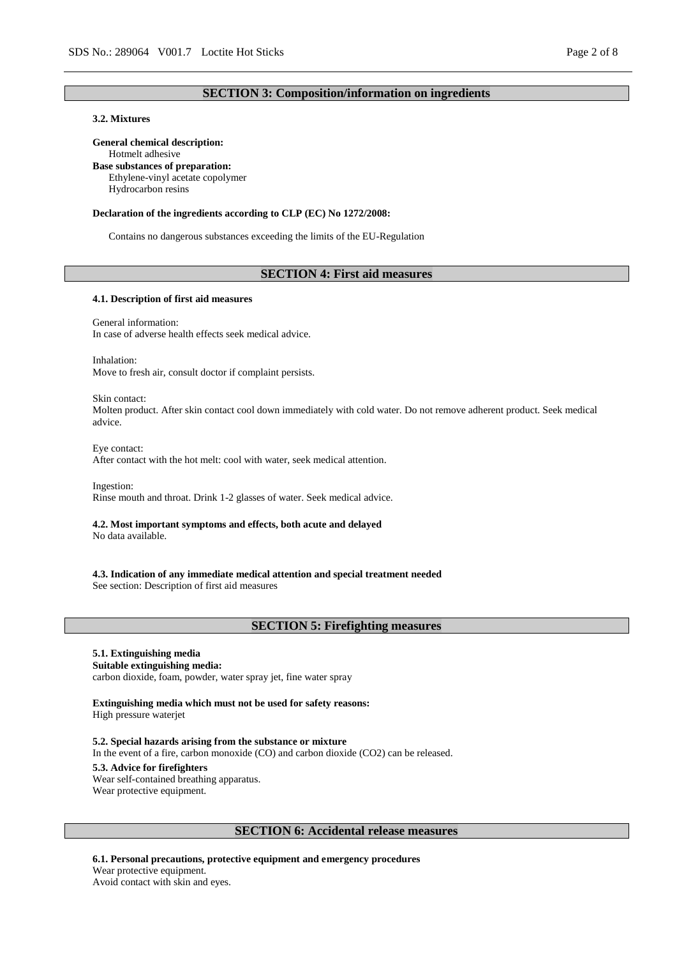# **SECTION 3: Composition/information on ingredients**

# **3.2. Mixtures**

### **General chemical description:**

Hotmelt adhesive

**Base substances of preparation:** Ethylene-vinyl acetate copolymer

Hydrocarbon resins

#### **Declaration of the ingredients according to CLP (EC) No 1272/2008:**

Contains no dangerous substances exceeding the limits of the EU-Regulation

### **SECTION 4: First aid measures**

#### **4.1. Description of first aid measures**

General information:

In case of adverse health effects seek medical advice.

Inhalation:

Move to fresh air, consult doctor if complaint persists.

Skin contact:

Molten product. After skin contact cool down immediately with cold water. Do not remove adherent product. Seek medical advice.

Eye contact: After contact with the hot melt: cool with water, seek medical attention.

Ingestion: Rinse mouth and throat. Drink 1-2 glasses of water. Seek medical advice.

# **4.2. Most important symptoms and effects, both acute and delayed**

No data available.

**4.3. Indication of any immediate medical attention and special treatment needed** See section: Description of first aid measures

### **SECTION 5: Firefighting measures**

# **5.1. Extinguishing media**

**Suitable extinguishing media:**

carbon dioxide, foam, powder, water spray jet, fine water spray

**Extinguishing media which must not be used for safety reasons:** High pressure waterjet

**5.2. Special hazards arising from the substance or mixture** In the event of a fire, carbon monoxide (CO) and carbon dioxide (CO2) can be released. **5.3. Advice for firefighters** Wear self-contained breathing apparatus. Wear protective equipment.

# **SECTION 6: Accidental release measures**

**6.1. Personal precautions, protective equipment and emergency procedures** Wear protective equipment. Avoid contact with skin and eyes.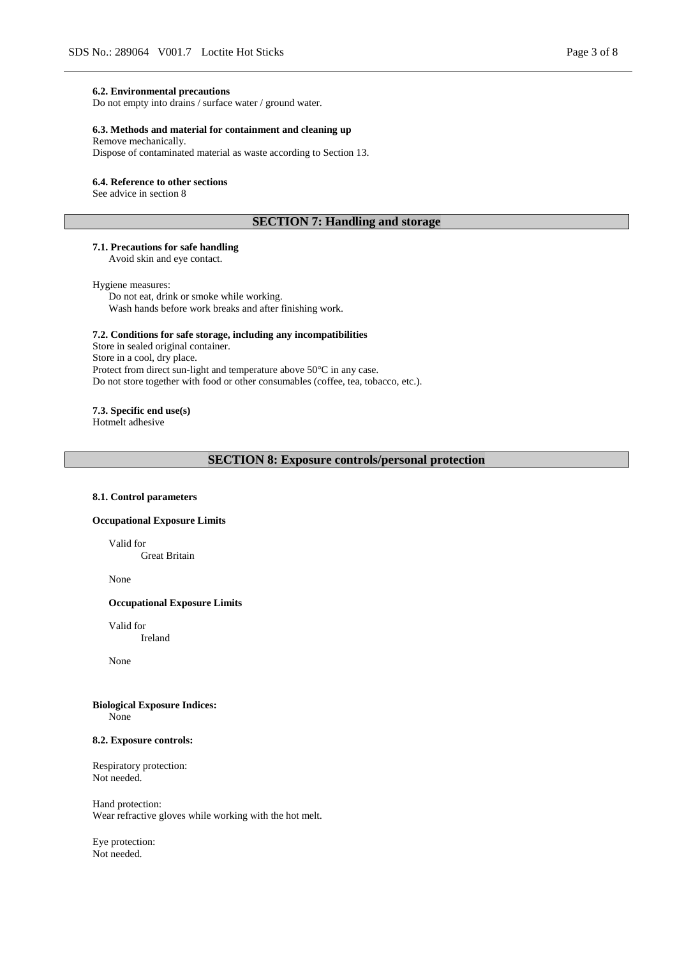#### **6.2. Environmental precautions**

Do not empty into drains / surface water / ground water.

### **6.3. Methods and material for containment and cleaning up**

Remove mechanically.

Dispose of contaminated material as waste according to Section 13.

#### **6.4. Reference to other sections**

See advice in section 8

# **SECTION 7: Handling and storage**

# **7.1. Precautions for safe handling**

Avoid skin and eye contact.

#### Hygiene measures:

Do not eat, drink or smoke while working. Wash hands before work breaks and after finishing work.

### **7.2. Conditions for safe storage, including any incompatibilities**

Store in sealed original container. Store in a cool, dry place. Protect from direct sun-light and temperature above 50°C in any case. Do not store together with food or other consumables (coffee, tea, tobacco, etc.).

### **7.3. Specific end use(s)**

Hotmelt adhesive

# **SECTION 8: Exposure controls/personal protection**

#### **8.1. Control parameters**

### **Occupational Exposure Limits**

Valid for

Great Britain

None

### **Occupational Exposure Limits**

Valid for Ireland

None

#### **Biological Exposure Indices:** None

#### **8.2. Exposure controls:**

Respiratory protection: Not needed.

Hand protection: Wear refractive gloves while working with the hot melt.

Eye protection: Not needed.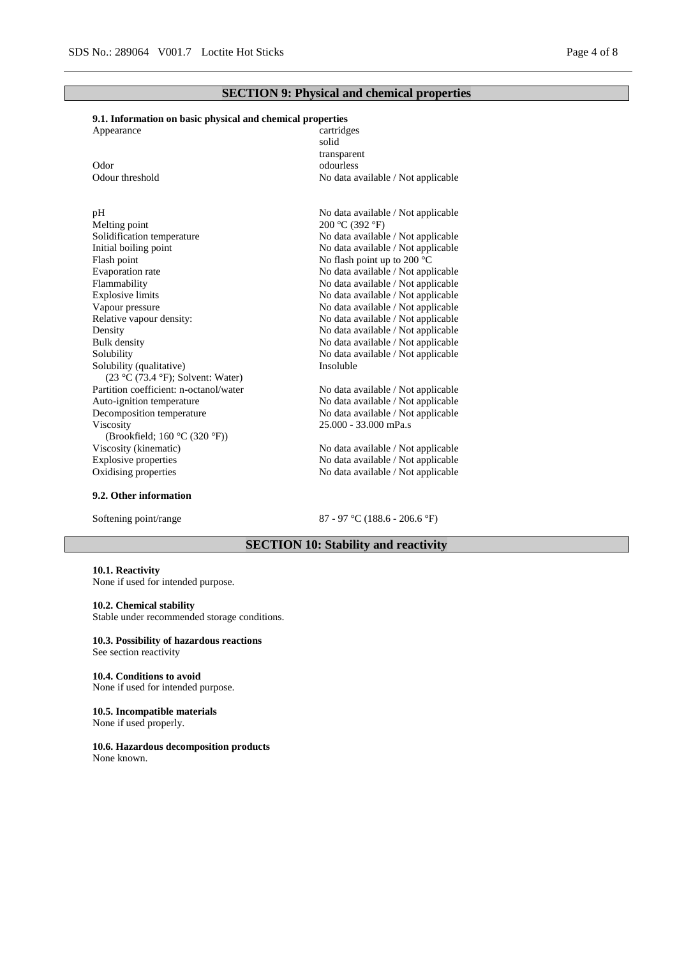# **SECTION 9: Physical and chemical properties**

# **9.1. Information on basic physical and chemical properties**

| Appearance      | cartridges                         |
|-----------------|------------------------------------|
|                 | solid                              |
|                 | transparent                        |
| Odor            | odourless                          |
| Odour threshold | No data available / Not applicable |
|                 |                                    |
|                 |                                    |

# Melting point 200 °C (392 °F)<br>Solidification temperature 200 °C (392 °F) Initial boiling point No data available / Not applicable Flash point  $\blacksquare$ <br>Flash point up to 200 °C<br>Evaporation rate  $\blacksquare$ <br>No data available / Not appl Flammability No data available / Not applicable Explosive limits No data available / Not applicable Explosive limits No data available / Not applicable<br>Vapour pressure No data available / Not applicable<br>No data available / Not applicable Vapour pressure<br>
Relative vapour density:<br>
No data available / Not applicable<br>
No data available / Not applicable<br>
No data available / Not applicable Density No data available / Not applicable<br>Bulk density No data available / Not applicable<br>No data available / Not applicable Bulk density<br>
Solubility<br>
No data available / Not applicable<br>
No data available / Not applicable<br>
No data available / Not applicable Solubility (qualitative) (23 °C (73.4 °F); Solvent: Water) Partition coefficient: n-octanol/water No data available / Not applicable Auto-ignition temperature No data available / Not applicable Decomposition temperature No data available / Not applicable Viscosity (Brookfield; 160 °C (320 °F)) Viscosity (kinematic) No data available / Not applicable Explosive properties No data available / Not applicable

#### **9.2. Other information**

pH No data available / Not applicable<br>Melting point 200 °C (392 °F) No data available / Not applicable No data available / Not applicable No data available / Not applicable No data available / Not applicable Insoluble

25.000 - 33.000 mPa.s

No data available / Not applicable Oxidising properties No data available / Not applicable

Softening point/range 87 - 97 °C (188.6 - 206.6 °F)

# **SECTION 10: Stability and reactivity**

#### **10.1. Reactivity** None if used for intended purpose.

#### **10.2. Chemical stability**

Stable under recommended storage conditions.

#### **10.3. Possibility of hazardous reactions** See section reactivity

**10.4. Conditions to avoid**

None if used for intended purpose.

**10.5. Incompatible materials** None if used properly.

**10.6. Hazardous decomposition products**

None known.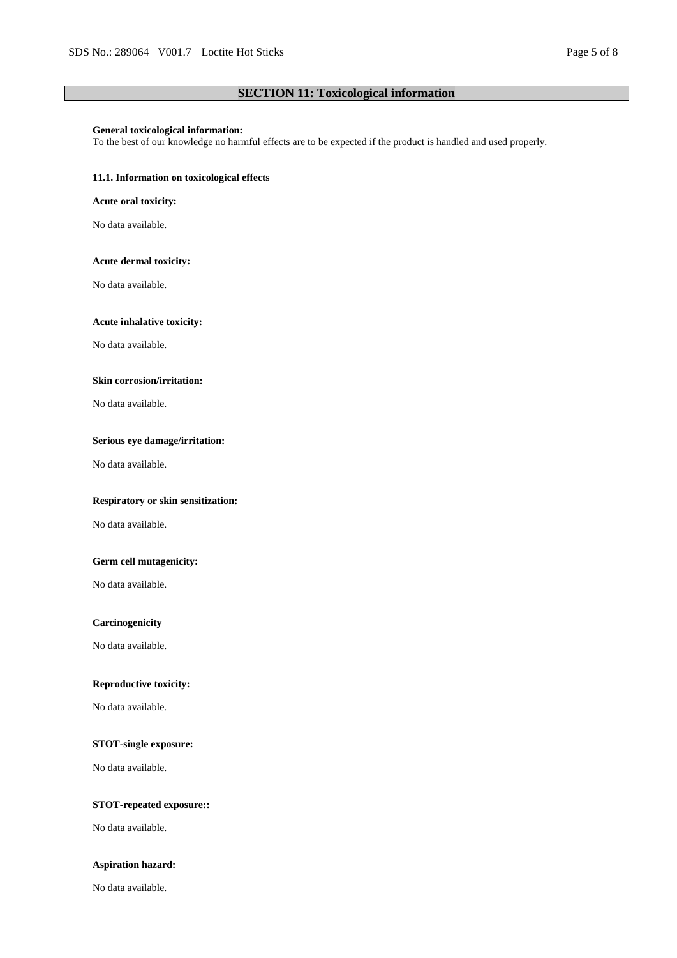# **SECTION 11: Toxicological information**

# **General toxicological information:**

To the best of our knowledge no harmful effects are to be expected if the product is handled and used properly.

### **11.1. Information on toxicological effects**

### **Acute oral toxicity:**

No data available.

### **Acute dermal toxicity:**

No data available.

#### **Acute inhalative toxicity:**

No data available.

### **Skin corrosion/irritation:**

No data available.

# **Serious eye damage/irritation:**

No data available.

### **Respiratory or skin sensitization:**

No data available.

### **Germ cell mutagenicity:**

No data available.

#### **Carcinogenicity**

No data available.

# **Reproductive toxicity:**

No data available.

# **STOT-single exposure:**

No data available.

## **STOT-repeated exposure::**

No data available.

### **Aspiration hazard:**

No data available.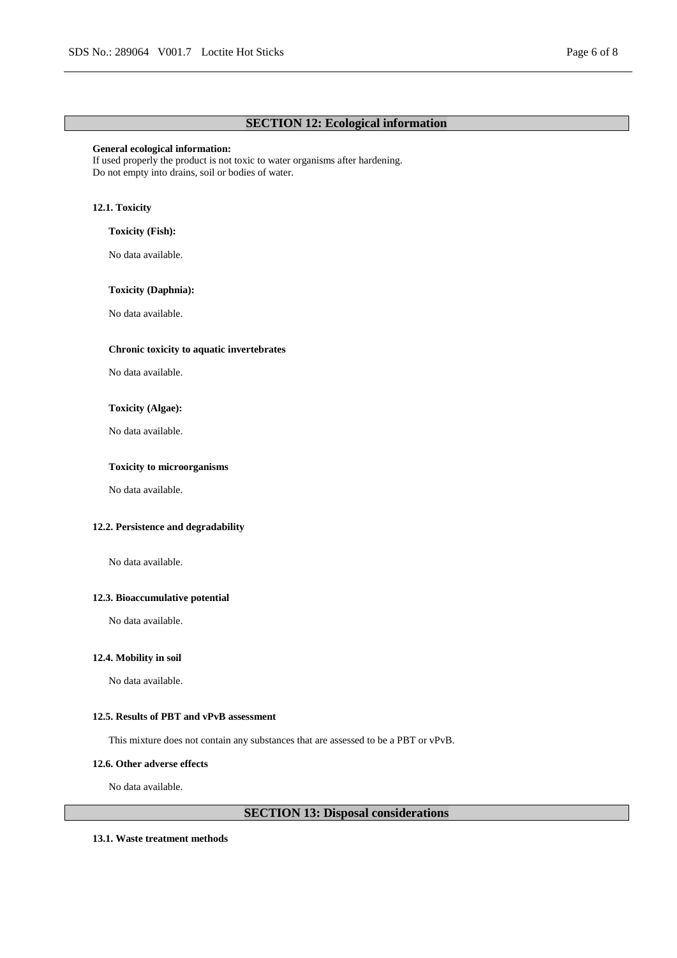# **SECTION 12: Ecological information**

#### **General ecological information:**

If used properly the product is not toxic to water organisms after hardening. Do not empty into drains, soil or bodies of water.

# **12.1. Toxicity**

### **Toxicity (Fish):**

No data available.

### **Toxicity (Daphnia):**

No data available.

# **Chronic toxicity to aquatic invertebrates**

No data available.

#### **Toxicity (Algae):**

No data available.

# **Toxicity to microorganisms**

No data available.

### **12.2. Persistence and degradability**

No data available.

# **12.3. Bioaccumulative potential**

No data available.

### **12.4. Mobility in soil**

No data available.

# **12.5. Results of PBT and vPvB assessment**

This mixture does not contain any substances that are assessed to be a PBT or vPvB.

### **12.6. Other adverse effects**

No data available.

# **SECTION 13: Disposal considerations**

### **13.1. Waste treatment methods**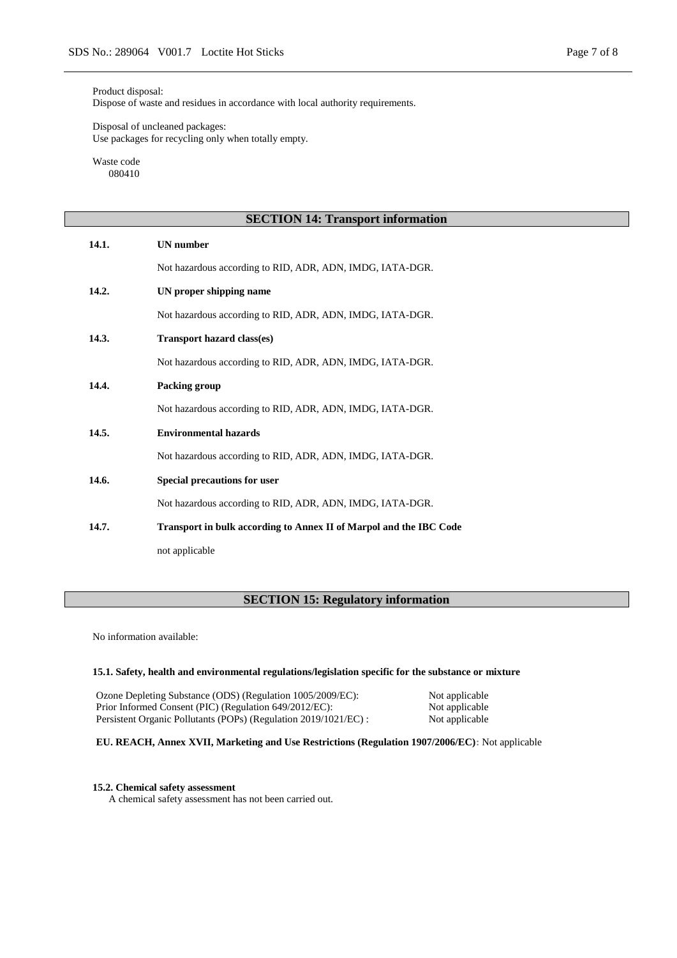#### Product disposal:

Dispose of waste and residues in accordance with local authority requirements.

Disposal of uncleaned packages: Use packages for recycling only when totally empty.

Waste code 080410

| <b>SECTION 14: Transport information</b> |                                                                    |  |
|------------------------------------------|--------------------------------------------------------------------|--|
| 14.1.                                    | <b>UN</b> number                                                   |  |
|                                          | Not hazardous according to RID, ADR, ADN, IMDG, IATA-DGR.          |  |
| 14.2.                                    | UN proper shipping name                                            |  |
|                                          | Not hazardous according to RID, ADR, ADN, IMDG, IATA-DGR.          |  |
| 14.3.                                    | Transport hazard class(es)                                         |  |
|                                          | Not hazardous according to RID, ADR, ADN, IMDG, IATA-DGR.          |  |
| 14.4.                                    | Packing group                                                      |  |
|                                          | Not hazardous according to RID, ADR, ADN, IMDG, IATA-DGR.          |  |
| 14.5.                                    | <b>Environmental hazards</b>                                       |  |
|                                          | Not hazardous according to RID, ADR, ADN, IMDG, IATA-DGR.          |  |
| 14.6.                                    | Special precautions for user                                       |  |
|                                          | Not hazardous according to RID, ADR, ADN, IMDG, IATA-DGR.          |  |
| 14.7.                                    | Transport in bulk according to Annex II of Marpol and the IBC Code |  |
|                                          | not applicable                                                     |  |

# **SECTION 15: Regulatory information**

No information available:

# **15.1. Safety, health and environmental regulations/legislation specific for the substance or mixture**

Ozone Depleting Substance (ODS) (Regulation 1005/2009/EC): Not applicable<br>Prior Informed Consent (PIC) (Regulation 649/2012/EC): Not applicable Prior Informed Consent (PIC) (Regulation 649/2012/EC): Not applicable<br>Persistent Organic Pollutants (POPs) (Regulation 2019/1021/EC) : Not applicable Persistent Organic Pollutants (POPs) (Regulation 2019/1021/EC) :

# **EU. REACH, Annex XVII, Marketing and Use Restrictions (Regulation 1907/2006/EC):** Not applicable

#### **15.2. Chemical safety assessment**

A chemical safety assessment has not been carried out.